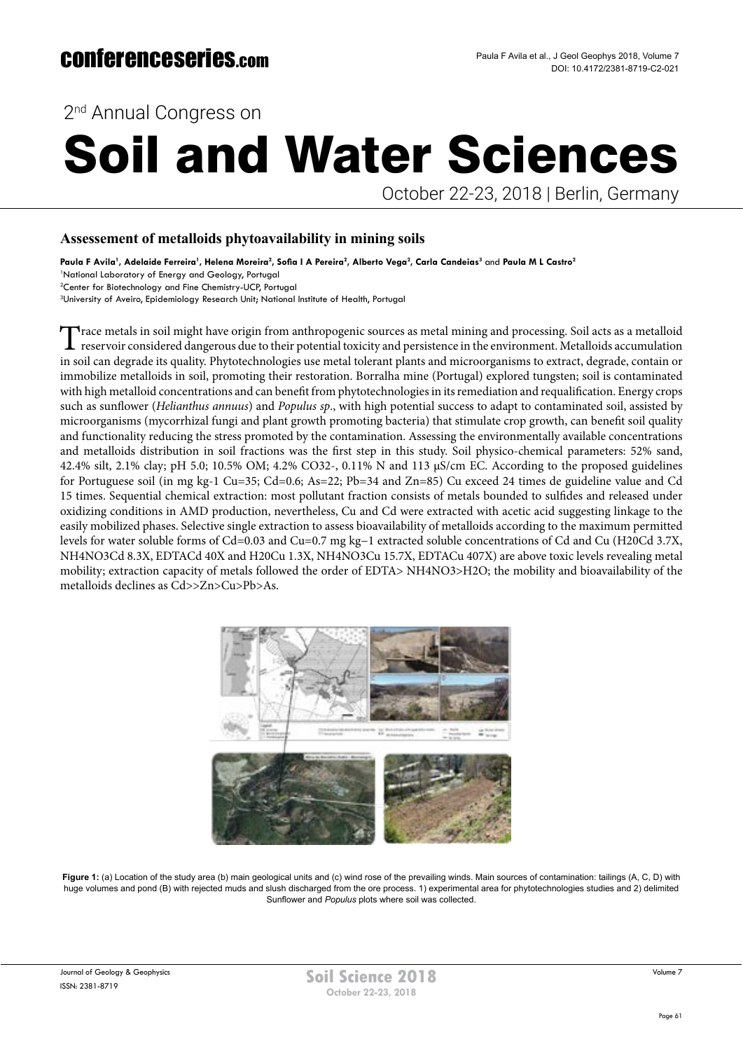2<sup>nd</sup> Annual Congress on

# Soil and Water Sciences

October 22-23, 2018 | Berlin, Germany

### **Assessement of metalloids phytoavailability in mining soils**

<code>Paula F Avila</code>', Adelaide Ferreira', Helena Moreira $^2$ , Sofia I A Pereira $^2$ , Alberto Vega $^2$ , Carla Candeias $^3$  and Paula M L Castro $^2$ 

1 National Laboratory of Energy and Geology, Portugal

2 Center for Biotechnology and Fine Chemistry-UCP, Portugal <sup>3</sup>University of Aveiro, Epidemiology Research Unit; National Institute of Health, Portugal

Trace metals in soil might have origin from anthropogenic sources as metal mining and processing. Soil acts as a metalloid reservoir considered dangerous due to their potential toxicity and persistence in the environment. in soil can degrade its quality. Phytotechnologies use metal tolerant plants and microorganisms to extract, degrade, contain or immobilize metalloids in soil, promoting their restoration. Borralha mine (Portugal) explored tungsten; soil is contaminated with high metalloid concentrations and can benefit from phytotechnologies in its remediation and requalification. Energy crops such as sunflower (*Helianthus annuus*) and *Populus sp*., with high potential success to adapt to contaminated soil, assisted by microorganisms (mycorrhizal fungi and plant growth promoting bacteria) that stimulate crop growth, can benefit soil quality and functionality reducing the stress promoted by the contamination. Assessing the environmentally available concentrations and metalloids distribution in soil fractions was the first step in this study. Soil physico-chemical parameters: 52% sand, 42.4% silt, 2.1% clay; pH 5.0; 10.5% OM; 4.2% CO32-, 0.11% N and 113 µS/cm EC. According to the proposed guidelines for Portuguese soil (in mg kg-1 Cu=35; Cd=0.6; As=22; Pb=34 and Zn=85) Cu exceed 24 times de guideline value and Cd 15 times. Sequential chemical extraction: most pollutant fraction consists of metals bounded to sulfides and released under oxidizing conditions in AMD production, nevertheless, Cu and Cd were extracted with acetic acid suggesting linkage to the easily mobilized phases. Selective single extraction to assess bioavailability of metalloids according to the maximum permitted levels for water soluble forms of Cd=0.03 and Cu=0.7 mg kg−1 extracted soluble concentrations of Cd and Cu (H20Cd 3.7X, NH4NO3Cd 8.3X, EDTACd 40X and H20Cu 1.3X, NH4NO3Cu 15.7X, EDTACu 407X) are above toxic levels revealing metal mobility; extraction capacity of metals followed the order of EDTA> NH4NO3>H2O; the mobility and bioavailability of the metalloids declines as Cd>>Zn>Cu>Pb>As.



Figure 1: (a) Location of the study area (b) main geological units and (c) wind rose of the prevailing winds. Main sources of contamination: tailings (A, C, D) with huge volumes and pond (B) with rejected muds and slush discharged from the ore process. 1) experimental area for phytotechnologies studies and 2) delimited Sunflower and *Populus* plots where soil was collected.